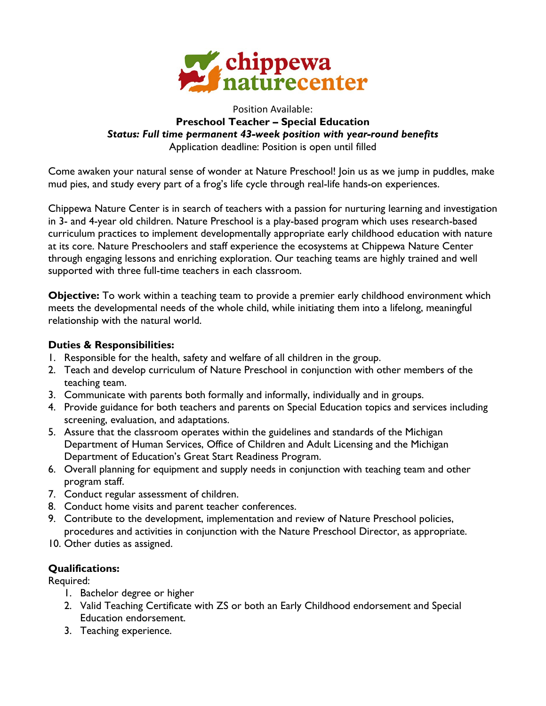

### Position Available: **Preschool Teacher – Special Education** *Status: Full time permanent 43-week position with year-round benefits* Application deadline: Position is open until filled

Come awaken your natural sense of wonder at Nature Preschool! Join us as we jump in puddles, make mud pies, and study every part of a frog's life cycle through real-life hands-on experiences.

Chippewa Nature Center is in search of teachers with a passion for nurturing learning and investigation in 3- and 4-year old children. Nature Preschool is a play-based program which uses research-based curriculum practices to implement developmentally appropriate early childhood education with nature at its core. Nature Preschoolers and staff experience the ecosystems at Chippewa Nature Center through engaging lessons and enriching exploration. Our teaching teams are highly trained and well supported with three full-time teachers in each classroom.

**Objective:** To work within a teaching team to provide a premier early childhood environment which meets the developmental needs of the whole child, while initiating them into a lifelong, meaningful relationship with the natural world.

## **Duties & Responsibilities:**

- 1. Responsible for the health, safety and welfare of all children in the group.
- 2. Teach and develop curriculum of Nature Preschool in conjunction with other members of the teaching team.
- 3. Communicate with parents both formally and informally, individually and in groups.
- 4. Provide guidance for both teachers and parents on Special Education topics and services including screening, evaluation, and adaptations.
- 5. Assure that the classroom operates within the guidelines and standards of the Michigan Department of Human Services, Office of Children and Adult Licensing and the Michigan Department of Education's Great Start Readiness Program.
- 6. Overall planning for equipment and supply needs in conjunction with teaching team and other program staff.
- 7. Conduct regular assessment of children.
- 8. Conduct home visits and parent teacher conferences.
- 9. Contribute to the development, implementation and review of Nature Preschool policies, procedures and activities in conjunction with the Nature Preschool Director, as appropriate.
- 10. Other duties as assigned.

# **Qualifications:**

Required:

- 1. Bachelor degree or higher
- 2. Valid Teaching Certificate with ZS or both an Early Childhood endorsement and Special Education endorsement.
- 3. Teaching experience.